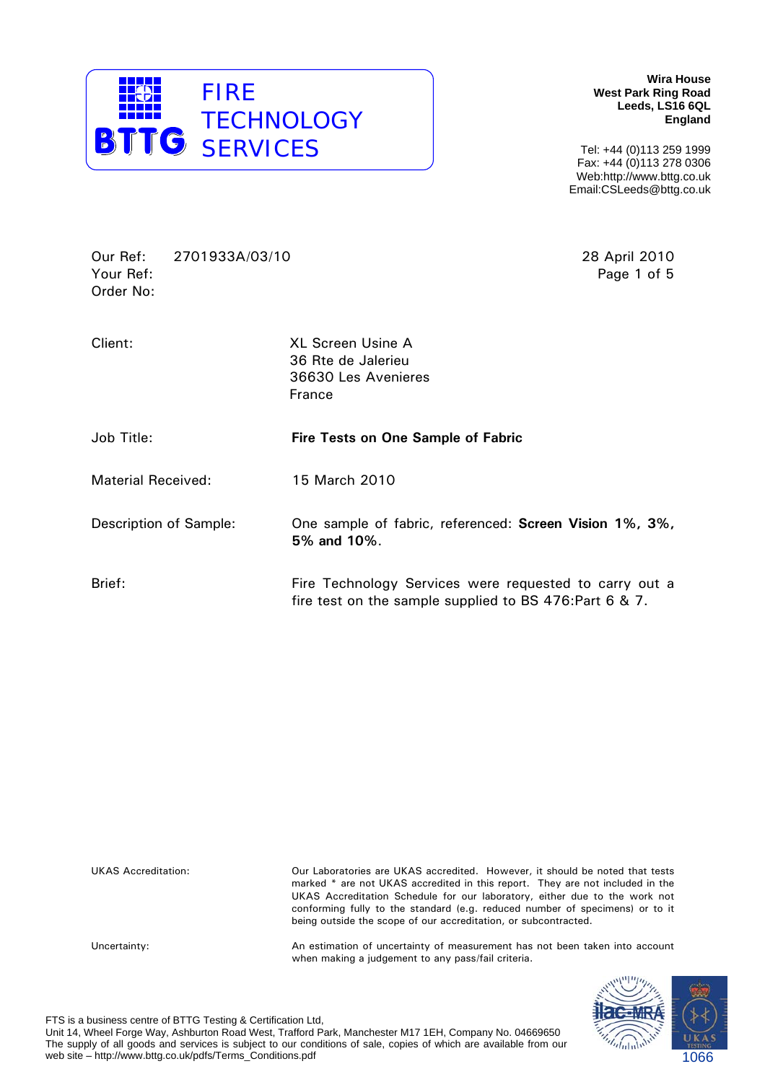

**Wira House West Park Ring Road Leeds, LS16 6QL England** 

Tel: +44 (0)113 259 1999 Fax: +44 (0)113 278 0306 Web:http://www.bttg.co.uk Email:CSLeeds@bttg.co.uk

Our Ref: 2701933A/03/10 28 April 2010 Your Ref: Page 1 of 5 Order No:

| Client:                       | <b>XL Screen Usine A</b><br>36 Rte de Jalerieu<br>36630 Les Avenieres<br>France                                   |
|-------------------------------|-------------------------------------------------------------------------------------------------------------------|
| Job Title:                    | <b>Fire Tests on One Sample of Fabric</b>                                                                         |
| <b>Material Received:</b>     | 15 March 2010                                                                                                     |
| <b>Description of Sample:</b> | One sample of fabric, referenced: Screen Vision 1%, 3%,<br>5% and 10%.                                            |
| Brief:                        | Fire Technology Services were requested to carry out a<br>fire test on the sample supplied to BS 476: Part 6 & 7. |

| <b>UKAS Accreditation:</b> | Our Laboratories are UKAS accredited. However, it should be noted that tests<br>marked * are not UKAS accredited in this report. They are not included in the<br>UKAS Accreditation Schedule for our laboratory, either due to the work not<br>conforming fully to the standard (e.g. reduced number of specimens) or to it<br>being outside the scope of our accreditation, or subcontracted. |
|----------------------------|------------------------------------------------------------------------------------------------------------------------------------------------------------------------------------------------------------------------------------------------------------------------------------------------------------------------------------------------------------------------------------------------|
| Uncertainty:               | An estimation of uncertainty of measurement has not been taken into account<br>when making a judgement to any pass/fail criteria.                                                                                                                                                                                                                                                              |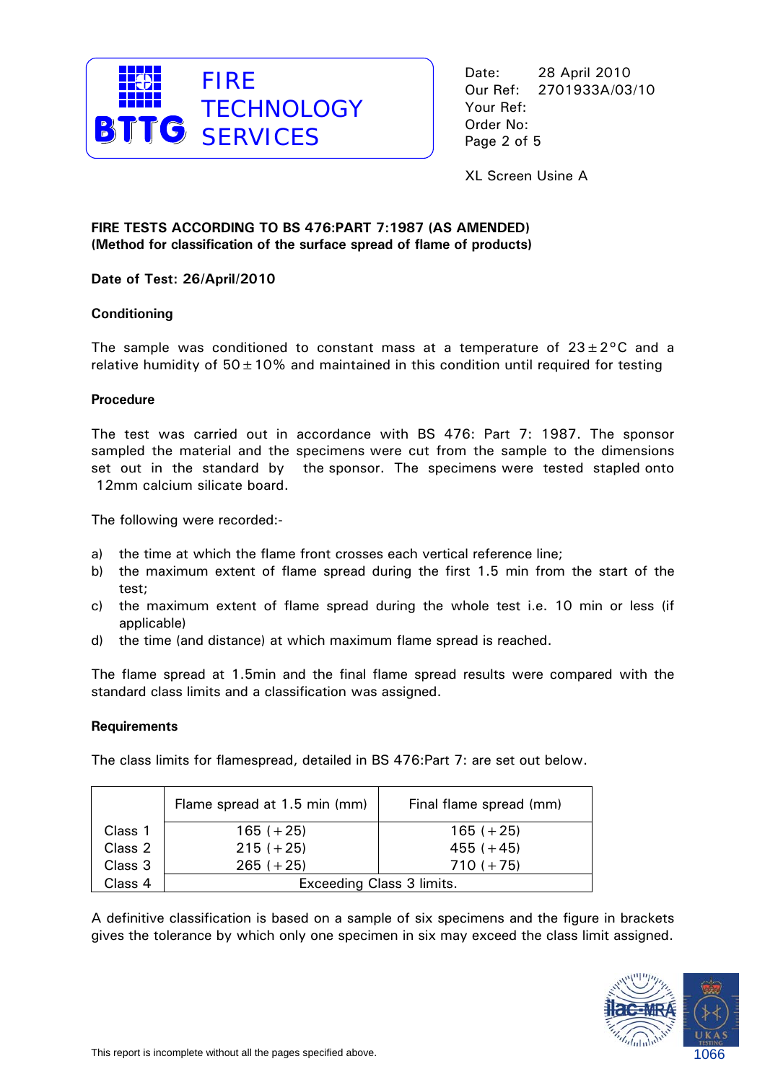

XL Screen Usine A

# **FIRE TESTS ACCORDING TO BS 476:PART 7:1987 (AS AMENDED) (Method for classification of the surface spread of flame of products)**

# **Date of Test: 26/April/2010**

# **Conditioning**

The sample was conditioned to constant mass at a temperature of  $23 \pm 2^{\circ}$ C and a relative humidity of  $50 \pm 10$ % and maintained in this condition until required for testing

## **Procedure**

The test was carried out in accordance with BS 476: Part 7: 1987. The sponsor sampled the material and the specimens were cut from the sample to the dimensions set out in the standard by the sponsor. The specimens were tested stapled onto 12mm calcium silicate board.

The following were recorded:-

- a) the time at which the flame front crosses each vertical reference line;
- b) the maximum extent of flame spread during the first 1.5 min from the start of the test;
- c) the maximum extent of flame spread during the whole test i.e. 10 min or less (if applicable)
- d) the time (and distance) at which maximum flame spread is reached.

The flame spread at 1.5min and the final flame spread results were compared with the standard class limits and a classification was assigned.

#### **Requirements**

The class limits for flamespread, detailed in BS 476:Part 7: are set out below.

|         | Flame spread at 1.5 min (mm) | Final flame spread (mm) |  |
|---------|------------------------------|-------------------------|--|
| Class 1 | $165 (+ 25)$                 | $165 (+ 25)$            |  |
| Class 2 | $215 (+ 25)$                 | $455 (+45)$             |  |
| Class 3 | $265 (+ 25)$                 | $710 (+ 75)$            |  |
| Class 4 | Exceeding Class 3 limits.    |                         |  |

A definitive classification is based on a sample of six specimens and the figure in brackets gives the tolerance by which only one specimen in six may exceed the class limit assigned.

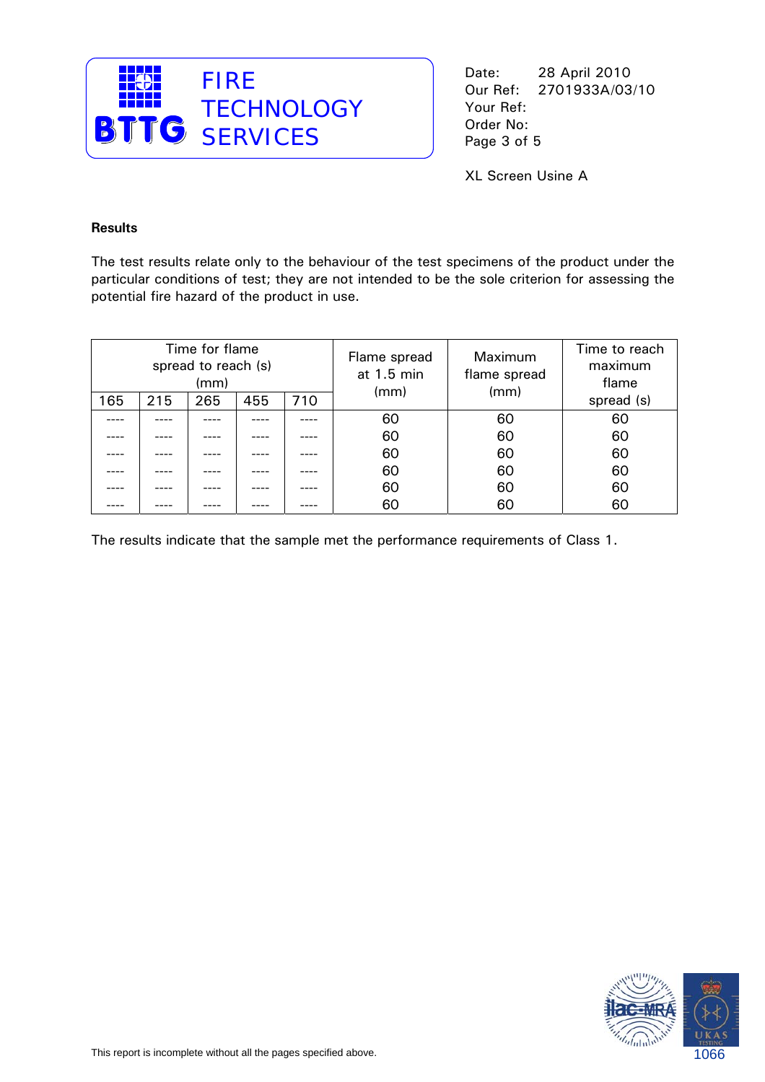

XL Screen Usine A

#### **Results**

The test results relate only to the behaviour of the test specimens of the product under the particular conditions of test; they are not intended to be the sole criterion for assessing the potential fire hazard of the product in use.

| Time for flame<br>spread to reach (s)<br>(mm) |     |     | Flame spread<br>at 1.5 min | Maximum<br>flame spread | Time to reach<br>maximum<br>flame |      |            |
|-----------------------------------------------|-----|-----|----------------------------|-------------------------|-----------------------------------|------|------------|
| 165                                           | 215 | 265 | 455                        | 710                     | (mm)                              | (mm) | spread (s) |
|                                               |     |     |                            |                         | 60                                | 60   | 60         |
|                                               |     |     |                            |                         | 60                                | 60   | 60         |
|                                               |     |     |                            |                         | 60                                | 60   | 60         |
|                                               |     |     |                            |                         | 60                                | 60   | 60         |
|                                               |     |     |                            |                         | 60                                | 60   | 60         |
|                                               |     |     |                            |                         | 60                                | 60   | 60         |

The results indicate that the sample met the performance requirements of Class 1.

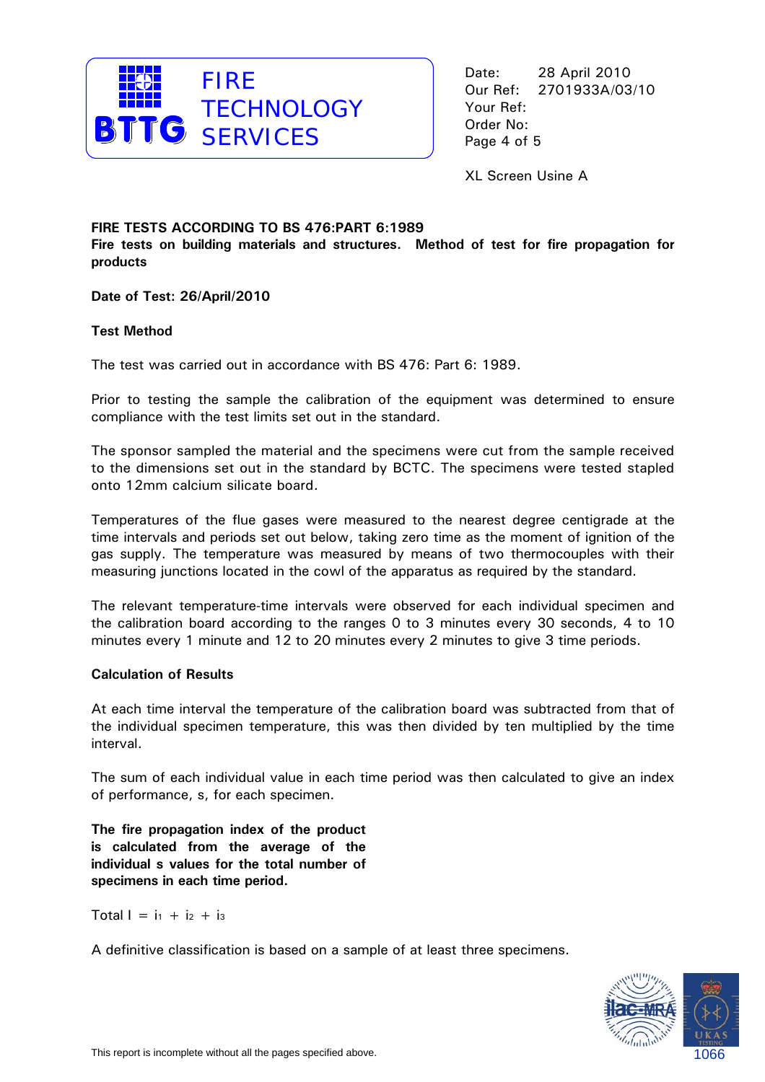

XL Screen Usine A

#### **FIRE TESTS ACCORDING TO BS 476:PART 6:1989**

**Fire tests on building materials and structures. Method of test for fire propagation for products** 

**Date of Test: 26/April/2010** 

#### **Test Method**

The test was carried out in accordance with BS 476: Part 6: 1989.

Prior to testing the sample the calibration of the equipment was determined to ensure compliance with the test limits set out in the standard.

The sponsor sampled the material and the specimens were cut from the sample received to the dimensions set out in the standard by BCTC. The specimens were tested stapled onto 12mm calcium silicate board.

Temperatures of the flue gases were measured to the nearest degree centigrade at the time intervals and periods set out below, taking zero time as the moment of ignition of the gas supply. The temperature was measured by means of two thermocouples with their measuring junctions located in the cowl of the apparatus as required by the standard.

The relevant temperature-time intervals were observed for each individual specimen and the calibration board according to the ranges 0 to 3 minutes every 30 seconds, 4 to 10 minutes every 1 minute and 12 to 20 minutes every 2 minutes to give 3 time periods.

#### **Calculation of Results**

At each time interval the temperature of the calibration board was subtracted from that of the individual specimen temperature, this was then divided by ten multiplied by the time interval.

The sum of each individual value in each time period was then calculated to give an index of performance, s, for each specimen.

**The fire propagation index of the product is calculated from the average of the individual s values for the total number of specimens in each time period.** 

Total  $I = i_1 + i_2 + i_3$ 

A definitive classification is based on a sample of at least three specimens.